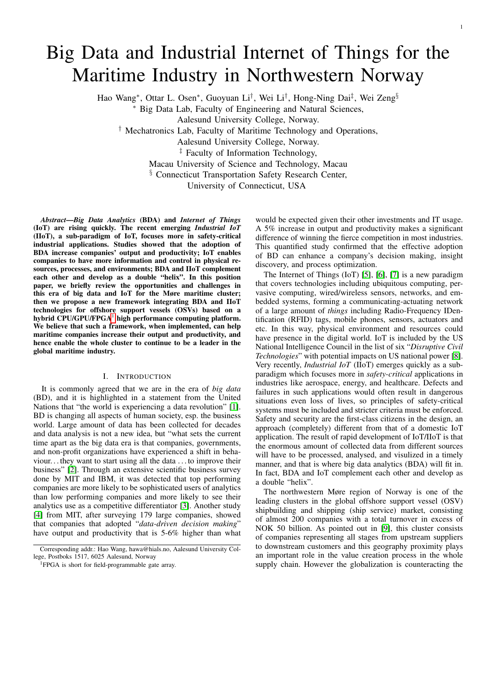# Big Data and Industrial Internet of Things for the Maritime Industry in Northwestern Norway

Hao Wang\*, Ottar L. Osen\*, Guoyuan Li<sup>†</sup>, Wei Li<sup>†</sup>, Hong-Ning Dai<sup>‡</sup>, Wei Zeng<sup>§</sup>

<sup>∗</sup> Big Data Lab, Faculty of Engineering and Natural Sciences,

Aalesund University College, Norway.

† Mechatronics Lab, Faculty of Maritime Technology and Operations,

Aalesund University College, Norway.

‡ Faculty of Information Technology,

Macau University of Science and Technology, Macau

§ Connecticut Transportation Safety Research Center,

University of Connecticut, USA

*Abstract*—*Big Data Analytics* (BDA) and *Internet of Things* (IoT) are rising quickly. The recent emerging *Industrial IoT* (IIoT), a sub-paradigm of IoT, focuses more in safety-critical industrial applications. Studies showed that the adoption of BDA increase companies' output and productivity; IoT enables companies to have more information and control in physical resources, processes, and environments; BDA and IIoT complement each other and develop as a double "helix". In this position paper, we briefly review the opportunities and challenges in this era of big data and IoT for the Møre maritime cluster; then we propose a new framework integrating BDA and IIoT technologies for offshore support vessels (OSVs) based on a hybrid  $\text{CPU/GPU/FPGA}^1$  $\text{CPU/GPU/FPGA}^1$  high performance computing platform. We believe that such a framework, when implemented, can help maritime companies increase their output and productivity, and hence enable the whole cluster to continue to be a leader in the global maritime industry.

## I. INTRODUCTION

<span id="page-0-1"></span>It is commonly agreed that we are in the era of *big data* (BD), and it is highlighted in a statement from the United Nations that "the world is experiencing a data revolution" [\[1\]](#page-4-0). BD is changing all aspects of human society, esp. the business world. Large amount of data has been collected for decades and data analysis is not a new idea, but "what sets the current time apart as the big data era is that companies, governments, and non-profit organizations have experienced a shift in behaviour. . . they want to start using all the data . . . to improve their business" [\[2\]](#page-4-1). Through an extensive scientific business survey done by MIT and IBM, it was detected that top performing companies are more likely to be sophisticated users of analytics than low performing companies and more likely to see their analytics use as a competitive differentiator [\[3\]](#page-4-2). Another study [\[4\]](#page-4-3) from MIT, after surveying 179 large companies, showed that companies that adopted "*data-driven decision making*" have output and productivity that is 5-6% higher than what would be expected given their other investments and IT usage. A 5% increase in output and productivity makes a significant difference of winning the fierce competition in most industries. This quantified study confirmed that the effective adoption of BD can enhance a company's decision making, insight discovery, and process optimization.

The Internet of Things (IoT) [\[5\]](#page-4-4), [\[6\]](#page-4-5), [\[7\]](#page-4-6) is a new paradigm that covers technologies including ubiquitous computing, pervasive computing, wired/wireless sensors, networks, and embedded systems, forming a communicating-actuating network of a large amount of *things* including Radio-Frequency IDentification (RFID) tags, mobile phones, sensors, actuators and etc. In this way, physical environment and resources could have presence in the digital world. IoT is included by the US National Intelligence Council in the list of six "*Disruptive Civil Technologies*" with potential impacts on US national power [\[8\]](#page-4-7). Very recently, *Industrial IoT* (IIoT) emerges quickly as a subparadigm which focuses more in *safety-critical* applications in industries like aerospace, energy, and healthcare. Defects and failures in such applications would often result in dangerous situations even loss of lives, so principles of safety-critical systems must be included and stricter criteria must be enforced. Safety and security are the first-class citizens in the design, an approach (completely) different from that of a domestic IoT application. The result of rapid development of IoT/IIoT is that the enormous amount of collected data from different sources will have to be processed, analysed, and visulized in a timely manner, and that is where big data analytics (BDA) will fit in. In fact, BDA and IoT complement each other and develop as a double "helix".

The northwestern Møre region of Norway is one of the leading clusters in the global offshore support vessel (OSV) shipbuilding and shipping (ship service) market, consisting of almost 200 companies with a total turnover in excess of NOK 50 billion. As pointed out in [\[9\]](#page-4-8), this cluster consists of companies representing all stages from upstream suppliers to downstream customers and this geography proximity plays an important role in the value creation process in the whole supply chain. However the globalization is counteracting the

Corresponding addr.: Hao Wang, hawa@hials.no, Aalesund University College, Postboks 1517, 6025 Aalesund, Norway

<span id="page-0-0"></span><sup>1</sup>FPGA is short for field-programmable gate array.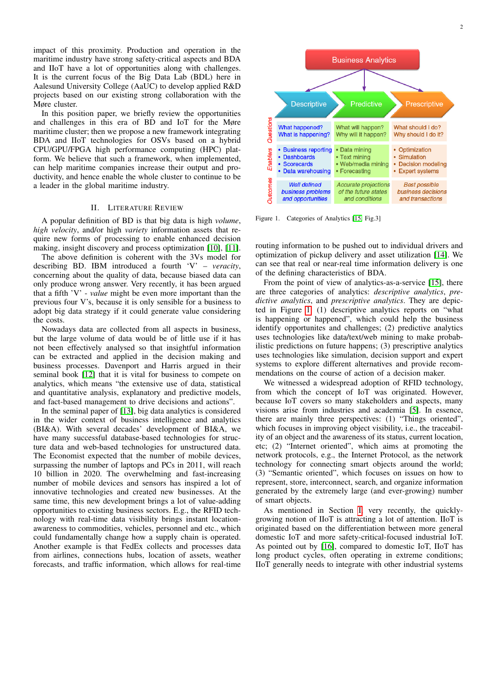impact of this proximity. Production and operation in the maritime industry have strong safety-critical aspects and BDA and IIoT have a lot of opportunities along with challenges. It is the current focus of the Big Data Lab (BDL) here in Aalesund University College (AaUC) to develop applied R&D projects based on our existing strong collaboration with the Møre cluster.

In this position paper, we briefly review the opportunities and challenges in this era of BD and IoT for the Møre maritime cluster; then we propose a new framework integrating BDA and IIoT technologies for OSVs based on a hybrid CPU/GPU/FPGA high performance computing (HPC) platform. We believe that such a framework, when implemented, can help maritime companies increase their output and productivity, and hence enable the whole cluster to continue to be a leader in the global maritime industry.

#### II. LITERATURE REVIEW

A popular definition of BD is that big data is high *volume*, *high velocity*, and/or high *variety* information assets that require new forms of processing to enable enhanced decision making, insight discovery and process optimization [\[10\]](#page-4-9), [\[11\]](#page-4-10).

The above definition is coherent with the 3Vs model for describing BD. IBM introduced a fourth 'V' – *veracity*, concerning about the quality of data, because biased data can only produce wrong answer. Very recently, it has been argued that a fifth 'V' - *value* might be even more important than the previous four V's, because it is only sensible for a business to adopt big data strategy if it could generate value considering the costs.

Nowadays data are collected from all aspects in business, but the large volume of data would be of little use if it has not been effectively analysed so that insightful information can be extracted and applied in the decision making and business processes. Davenport and Harris argued in their seminal book [\[12\]](#page-4-11) that it is vital for business to compete on analytics, which means "the extensive use of data, statistical and quantitative analysis, explanatory and predictive models, and fact-based management to drive decisions and actions".

In the seminal paper of [\[13\]](#page-4-12), big data analytics is considered in the wider context of business intelligence and analytics (BI&A). With several decades' development of BI&A, we have many successful database-based technologies for structure data and web-based technologies for unstructured data. The Economist expected that the number of mobile devices, surpassing the number of laptops and PCs in 2011, will reach 10 billion in 2020. The overwhelming and fast-increasing number of mobile devices and sensors has inspired a lot of innovative technologies and created new businesses. At the same time, this new development brings a lot of value-adding opportunities to existing business sectors. E.g., the RFID technology with real-time data visibility brings instant locationawareness to commodities, vehicles, personnel and etc., which could fundamentally change how a supply chain is operated. Another example is that FedEx collects and processes data from airlines, connections hubs, location of assets, weather forecasts, and traffic information, which allows for real-time



<span id="page-1-0"></span>Figure 1. Categories of Analytics [\[15,](#page-4-13) Fig.3]

routing information to be pushed out to individual drivers and optimization of pickup delivery and asset utilization [\[14\]](#page-4-14). We can see that real or near-real time information delivery is one of the defining characteristics of BDA.

From the point of view of analytics-as-a-service [\[15\]](#page-4-13), there are three categories of analytics: *descriptive analytics*, *predictive analytics*, and *prescriptive analytics*. They are depicted in Figure [1:](#page-1-0) (1) descriptive analytics reports on "what is happening or happened", which could help the business identify opportunites and challenges; (2) predictive analytics uses technologies like data/text/web mining to make probabilistic predictions on future happens; (3) prescriptive analytics uses technologies like simulation, decision support and expert systems to explore different alternatives and provide recommendations on the course of action of a decision maker.

We witnessed a widespread adoption of RFID technology, from which the concept of IoT was originated. However, because IoT covers so many stakeholders and aspects, many visions arise from industries and academia [\[5\]](#page-4-4). In essence, there are mainly three perspectives: (1) "Things oriented", which focuses in improving object visibility, i.e., the traceability of an object and the awareness of its status, current location, etc; (2) "Internet oriented", which aims at promoting the network protocols, e.g., the Internet Protocol, as the network technology for connecting smart objects around the world; (3) "Semantic oriented", which focuses on issues on how to represent, store, interconnect, search, and organize information generated by the extremely large (and ever-growing) number of smart objects.

As mentioned in Section [I,](#page-0-1) very recently, the quicklygrowing notion of IIoT is attracting a lot of attention. IIoT is originated based on the differentiation between more general domestic IoT and more safety-critical-focused industrial IoT. As pointed out by [\[16\]](#page-4-15), compared to domestic IoT, IIoT has long product cycles, often operating in extreme conditions; IIoT generally needs to integrate with other industrial systems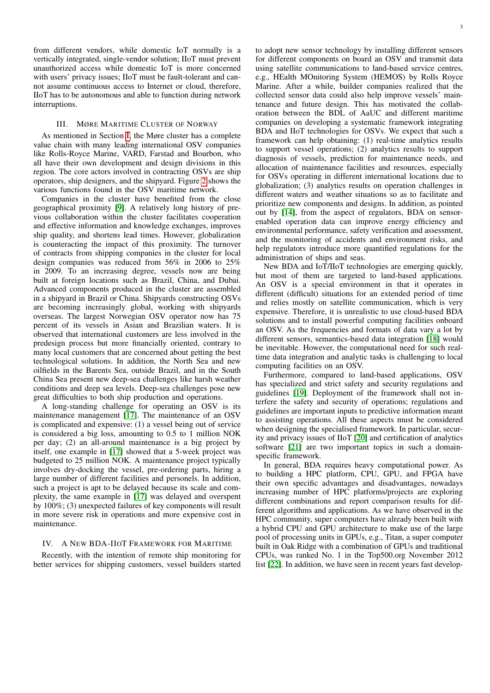from different vendors, while domestic IoT normally is a vertically integrated, single-vendor solution; IIoT must prevent unauthorized access while domestic IoT is more concerned with users' privacy issues; IIoT must be fault-tolerant and cannot assume continuous access to Internet or cloud, therefore, IIoT has to be autonomous and able to function during network interruptions.

## III. MØRE MARITIME CLUSTER OF NORWAY

As mentioned in Section [I,](#page-0-1) the Møre cluster has a complete value chain with many leading international OSV companies like Rolls-Royce Marine, VARD, Farstad and Bourbon, who all have their own development and design divisions in this region. The core actors involved in contracting OSVs are ship operators, ship designers, and the shipyard. Figure [2](#page-3-0) shows the various functions found in the OSV maritime network.

Companies in the cluster have benefited from the close geographical proximity [\[9\]](#page-4-8). A relatively long history of previous collaboration within the cluster facilitates cooperation and effective information and knowledge exchanges, improves ship quality, and shortens lead times. However, globalization is counteracting the impact of this proximity. The turnover of contracts from shipping companies in the cluster for local design companies was reduced from 56% in 2006 to 25% in 2009. To an increasing degree, vessels now are being built at foreign locations such as Brazil, China, and Dubai. Advanced components produced in the cluster are assembled in a shipyard in Brazil or China. Shipyards constructing OSVs are becoming increasingly global, working with shipyards overseas. The largest Norwegian OSV operator now has 75 percent of its vessels in Asian and Brazilian waters. It is observed that international customers are less involved in the predesign process but more financially oriented, contrary to many local customers that are concerned about getting the best technological solutions. In addition, the North Sea and new oilfields in the Barents Sea, outside Brazil, and in the South China Sea present new deep-sea challenges like harsh weather conditions and deep sea levels. Deep-sea challenges pose new great difficulties to both ship production and operations.

A long-standing challenge for operating an OSV is its maintenance management [\[17\]](#page-4-16). The maintenance of an OSV is complicated and expensive: (1) a vessel being out of service is considered a big loss, amounting to 0.5 to 1 million NOK per day; (2) an all-around maintenance is a big project by itself, one example in [\[17\]](#page-4-16) showed that a 5-week project was budgeted to 25 million NOK. A maintenance project typically involves dry-docking the vessel, pre-ordering parts, hiring a large number of different facilities and personels. In addition, such a project is apt to be delayed because its scale and complexity, the same example in [\[17\]](#page-4-16) was delayed and overspent by 100%; (3) unexpected failures of key components will result in more severe risk in operations and more expensive cost in maintenance.

### IV. A NEW BDA-IIOT FRAMEWORK FOR MARITIME

Recently, with the intention of remote ship monitoring for better services for shipping customers, vessel builders started to adopt new sensor technology by installing different sensors for different components on board an OSV and transmit data using satellite communications to land-based service centres, e.g., HEalth MOnitoring System (HEMOS) by Rolls Royce Marine. After a while, builder companies realized that the collected sensor data could also help improve vessels' maintenance and future design. This has motivated the collaboration between the BDL of AaUC and different maritime companies on developing a systematic framework integrating BDA and IIoT technologies for OSVs. We expect that such a framework can help obtaining: (1) real-time analytics results to support vessel operations; (2) analytics results to support diagnosis of vessels, prediction for maintenance needs, and allocation of maintenance facilities and resources, especially for OSVs operating in different international locations due to globalization; (3) analytics results on operation challenges in different waters and weather situations so as to facilitate and prioritize new components and designs. In addition, as pointed out by [\[14\]](#page-4-14), from the aspect of regulators, BDA on sensorenabled operation data can improve energy efficiency and environmental performance, safety verification and assessment, and the monitoring of accidents and environment risks, and help regulators introduce more quantified regulations for the administration of ships and seas.

New BDA and IoT/IIoT technologies are emerging quickly, but most of them are targeted to land-based applications. An OSV is a special environment in that it operates in different (difficult) situations for an extended period of time and relies mostly on satellite communication, which is very expensive. Therefore, it is unrealistic to use cloud-based BDA solutions and to install powerful computing facilities onboard an OSV. As the frequencies and formats of data vary a lot by different sensors, semantics-based data integration [\[18\]](#page-4-17) would be inevitable. However, the computational need for such realtime data integration and analytic tasks is challenging to local computing facilities on an OSV.

Furthermore, compared to land-based applications, OSV has specialized and strict safety and security regulations and guidelines [\[19\]](#page-4-18). Deployment of the framework shall not interfere the safety and security of operations; regulations and guidelines are important inputs to predictive information meant to assisting operations. All these aspects must be considered when designing the specialised framework. In particular, security and privacy issues of IIoT [\[20\]](#page-4-19) and certification of analytics software [\[21\]](#page-4-20) are two important topics in such a domainspecific framework.

In general, BDA requires heavy computational power. As to building a HPC platform, CPU, GPU, and FPGA have their own specific advantages and disadvantages, nowadays increasing number of HPC platforms/projects are exploring different combinations and report comparison results for different algorithms and applications. As we have observed in the HPC community, super computers have already been built with a hybrid CPU and GPU architecture to make use of the large pool of processing units in GPUs, e.g., Titan, a super computer built in Oak Ridge with a combination of GPUs and traditional CPUs, was ranked No. 1 in the Top500.org November 2012 list [\[22\]](#page-4-21). In addition, we have seen in recent years fast develop-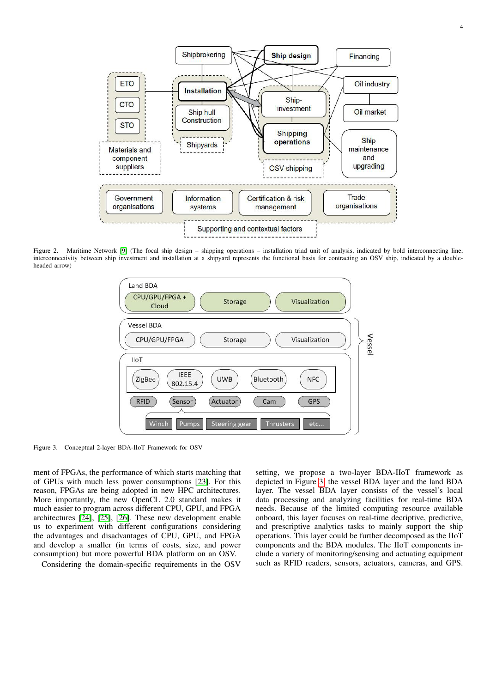

<span id="page-3-0"></span>Figure 2. Maritime Network [\[9\]](#page-4-8) (The focal ship design – shipping operations – installation triad unit of analysis, indicated by bold interconnecting line; interconnectivity between ship investment and installation at a shipyard represents the functional basis for contracting an OSV ship, indicated by a doubleheaded arrow)



<span id="page-3-1"></span>Figure 3. Conceptual 2-layer BDA-IIoT Framework for OSV

ment of FPGAs, the performance of which starts matching that of GPUs with much less power consumptions [\[23\]](#page-4-22). For this reason, FPGAs are being adopted in new HPC architectures. More importantly, the new OpenCL 2.0 standard makes it much easier to program across different CPU, GPU, and FPGA architectures [\[24\]](#page-4-23), [\[25\]](#page-4-24), [\[26\]](#page-4-25). These new development enable us to experiment with different configurations considering the advantages and disadvantages of CPU, GPU, and FPGA and develop a smaller (in terms of costs, size, and power consumption) but more powerful BDA platform on an OSV.

Considering the domain-specific requirements in the OSV

setting, we propose a two-layer BDA-IIoT framework as depicted in Figure [3:](#page-3-1) the vessel BDA layer and the land BDA layer. The vessel BDA layer consists of the vessel's local data processing and analyzing facilities for real-time BDA needs. Because of the limited computing resource available onboard, this layer focuses on real-time decriptive, predictive, and prescriptive analytics tasks to mainly support the ship operations. This layer could be further decomposed as the IIoT components and the BDA modules. The IIoT components include a variety of monitoring/sensing and actuating equipment such as RFID readers, sensors, actuators, cameras, and GPS.